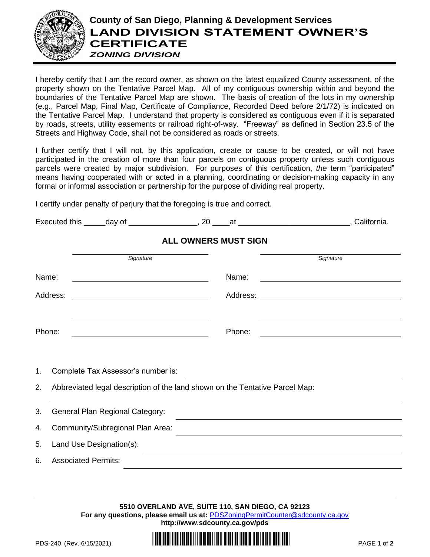

## **County of San Diego, Planning & Development Services LAND DIVISION STATEMENT OWNER'S CERTIFICATE** *ZONING DIVISION*

I hereby certify that I am the record owner, as shown on the latest equalized County assessment, of the property shown on the Tentative Parcel Map. All of my contiguous ownership within and beyond the boundaries of the Tentative Parcel Map are shown. The basis of creation of the lots in my ownership (e.g., Parcel Map, Final Map, Certificate of Compliance, Recorded Deed before 2/1/72) is indicated on the Tentative Parcel Map. I understand that property is considered as contiguous even if it is separated by roads, streets, utility easements or railroad right-of-way. "Freeway" as defined in Section 23.5 of the Streets and Highway Code, shall not be considered as roads or streets.

I further certify that I will not, by this application, create or cause to be created, or will not have participated in the creation of more than four parcels on contiguous property unless such contiguous parcels were created by major subdivision. For purposes of this certification, *the* term "participated" means having cooperated with or acted in a planning, coordinating or decision-making capacity in any formal or informal association or partnership for the purpose of dividing real property.

I certify under penalty of perjury that the foregoing is true and correct.

| $\overline{\phantom{0}}$<br>Executed this | dav | π.<br>-- | <br>הווי" |
|-------------------------------------------|-----|----------|-----------|
|                                           |     |          |           |

|          | <b>ALL OWNERS MUST SIGN</b>                                                  |          |           |  |  |  |
|----------|------------------------------------------------------------------------------|----------|-----------|--|--|--|
|          | Signature                                                                    |          | Signature |  |  |  |
| Name:    |                                                                              | Name:    |           |  |  |  |
| Address: |                                                                              | Address: |           |  |  |  |
| Phone:   |                                                                              | Phone:   |           |  |  |  |
| 1.       | Complete Tax Assessor's number is:                                           |          |           |  |  |  |
| 2.       | Abbreviated legal description of the land shown on the Tentative Parcel Map: |          |           |  |  |  |
| 3.       | General Plan Regional Category:                                              |          |           |  |  |  |
| 4.       | Community/Subregional Plan Area:                                             |          |           |  |  |  |
| 5.       | Land Use Designation(s):                                                     |          |           |  |  |  |
| 6.       | <b>Associated Permits:</b>                                                   |          |           |  |  |  |
|          |                                                                              |          |           |  |  |  |

**5510 OVERLAND AVE, SUITE 110, SAN DIEGO, CA 92123 For any questions, please email us at:** [PDSZoningPermitCounter@sdcounty.ca.gov](mailto:PDSZoningPermitCounter@sdcounty.ca.gov) **<http://www.sdcounty.ca.gov/pds>**